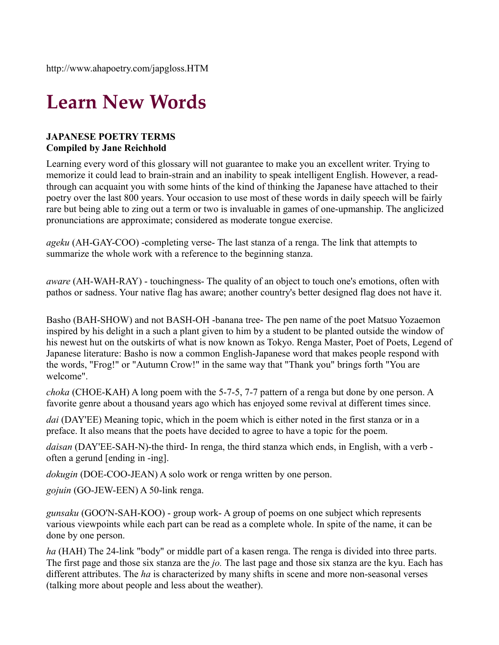http://www.ahapoetry.com/japgloss.HTM

## **Learn New Words**

## **JAPANESE POETRY TERMS Compiled by Jane Reichhold**

Learning every word of this glossary will not guarantee to make you an excellent writer. Trying to memorize it could lead to brain-strain and an inability to speak intelligent English. However, a readthrough can acquaint you with some hints of the kind of thinking the Japanese have attached to their poetry over the last 800 years. Your occasion to use most of these words in daily speech will be fairly rare but being able to zing out a term or two is invaluable in games of one-upmanship. The anglicized pronunciations are approximate; considered as moderate tongue exercise.

*ageku* (AH-GAY-COO) -completing verse- The last stanza of a renga. The link that attempts to summarize the whole work with a reference to the beginning stanza.

*aware* (AH-WAH-RAY) - touchingness- The quality of an object to touch one's emotions, often with pathos or sadness. Your native flag has aware; another country's better designed flag does not have it.

Basho (BAH-SHOW) and not BASH-OH -banana tree- The pen name of the poet Matsuo Yozaemon inspired by his delight in a such a plant given to him by a student to be planted outside the window of his newest hut on the outskirts of what is now known as Tokyo. Renga Master, Poet of Poets, Legend of Japanese literature: Basho is now a common English-Japanese word that makes people respond with the words, "Frog!" or "Autumn Crow!" in the same way that "Thank you" brings forth "You are welcome".

*choka* (CHOE-KAH) A long poem with the 5-7-5, 7-7 pattern of a renga but done by one person. A favorite genre about a thousand years ago which has enjoyed some revival at different times since.

*dai* (DAY'EE) Meaning topic, which in the poem which is either noted in the first stanza or in a preface. It also means that the poets have decided to agree to have a topic for the poem.

*daisan* (DAY'EE-SAH-N)-the third- In renga, the third stanza which ends, in English, with a verb often a gerund [ending in -ing].

*dokugin* (DOE-COO-JEAN) A solo work or renga written by one person.

*gojuin* (GO-JEW-EEN) A 50-link renga.

*gunsaku* (GOO'N-SAH-KOO) - group work- A group of poems on one subject which represents various viewpoints while each part can be read as a complete whole. In spite of the name, it can be done by one person.

*ha* (HAH) The 24-link "body" or middle part of a kasen renga. The renga is divided into three parts. The first page and those six stanza are the *jo.* The last page and those six stanza are the kyu. Each has different attributes. The *ha* is characterized by many shifts in scene and more non-seasonal verses (talking more about people and less about the weather).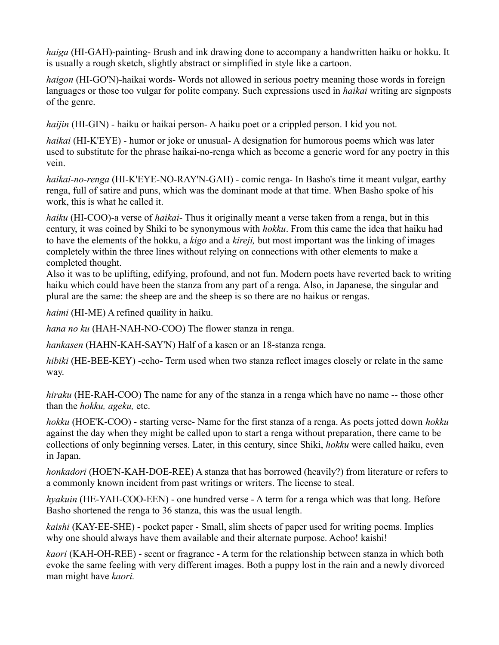*haiga* (HI-GAH)-painting- Brush and ink drawing done to accompany a handwritten haiku or hokku. It is usually a rough sketch, slightly abstract or simplified in style like a cartoon.

*haigon* (HI-GO'N)-haikai words- Words not allowed in serious poetry meaning those words in foreign languages or those too vulgar for polite company. Such expressions used in *haikai* writing are signposts of the genre.

*haijin* (HI-GIN) - haiku or haikai person- A haiku poet or a crippled person. I kid you not.

*haikai* (HI-K'EYE) - humor or joke or unusual- A designation for humorous poems which was later used to substitute for the phrase haikai-no-renga which as become a generic word for any poetry in this vein.

*haikai-no-renga* (HI-K'EYE-NO-RAY'N-GAH) - comic renga- In Basho's time it meant vulgar, earthy renga, full of satire and puns, which was the dominant mode at that time. When Basho spoke of his work, this is what he called it.

*haiku* (HI-COO)-a verse of *haikai*- Thus it originally meant a verse taken from a renga, but in this century, it was coined by Shiki to be synonymous with *hokku*. From this came the idea that haiku had to have the elements of the hokku, a *kigo* and a *kireji,* but most important was the linking of images completely within the three lines without relying on connections with other elements to make a completed thought.

Also it was to be uplifting, edifying, profound, and not fun. Modern poets have reverted back to writing haiku which could have been the stanza from any part of a renga. Also, in Japanese, the singular and plural are the same: the sheep are and the sheep is so there are no haikus or rengas.

*haimi* (HI-ME) A refined quaility in haiku.

*hana no ku* (HAH-NAH-NO-COO) The flower stanza in renga.

*hankasen* (HAHN-KAH-SAY'N) Half of a kasen or an 18-stanza renga.

*hibiki* (HE-BEE-KEY) -echo- Term used when two stanza reflect images closely or relate in the same way.

*hiraku* (HE-RAH-COO) The name for any of the stanza in a renga which have no name -- those other than the *hokku, ageku,* etc.

*hokku* (HOE'K-COO) - starting verse- Name for the first stanza of a renga. As poets jotted down *hokku* against the day when they might be called upon to start a renga without preparation, there came to be collections of only beginning verses. Later, in this century, since Shiki, *hokku* were called haiku, even in Japan.

*honkadori* (HOE'N-KAH-DOE-REE) A stanza that has borrowed (heavily?) from literature or refers to a commonly known incident from past writings or writers. The license to steal.

*hyakuin* (HE-YAH-COO-EEN) - one hundred verse - A term for a renga which was that long. Before Basho shortened the renga to 36 stanza, this was the usual length.

*kaishi* (KAY-EE-SHE) - pocket paper - Small, slim sheets of paper used for writing poems. Implies why one should always have them available and their alternate purpose. Achoo! kaishi!

*kaori* (KAH-OH-REE) - scent or fragrance - A term for the relationship between stanza in which both evoke the same feeling with very different images. Both a puppy lost in the rain and a newly divorced man might have *kaori.*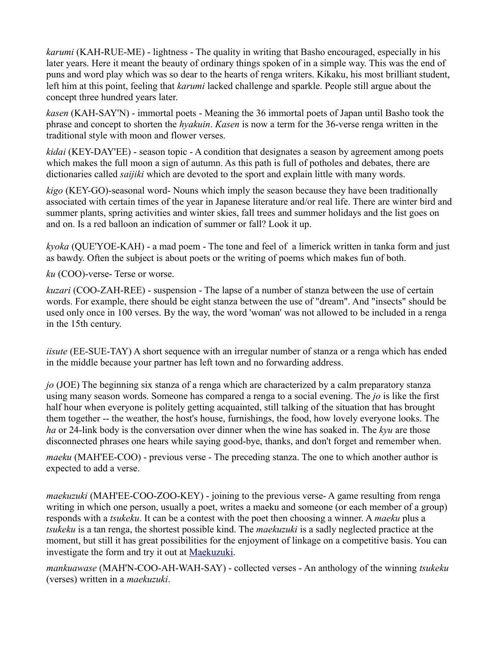*karumi* (KAH-RUE-ME) - lightness - The quality in writing that Basho encouraged, especially in his later years. Here it meant the beauty of ordinary things spoken of in a simple way. This was the end of puns and word play which was so dear to the hearts of renga writers. Kikaku, his most brilliant student, left him at this point, feeling that *karumi* lacked challenge and sparkle. People still argue about the concept three hundred years later.

*kasen* (KAH-SAY'N) - immortal poets - Meaning the 36 immortal poets of Japan until Basho took the phrase and concept to shorten the *hyakuin*. *Kasen* is now a term for the 36-verse renga written in the traditional style with moon and flower verses.

*kidai* (KEY-DAY'EE) - season topic - A condition that designates a season by agreement among poets which makes the full moon a sign of autumn. As this path is full of potholes and debates, there are dictionaries called *saijiki* which are devoted to the sport and explain little with many words.

*kigo* (KEY-GO)-seasonal word- Nouns which imply the season because they have been traditionally associated with certain times of the year in Japanese literature and/or real life. There are winter bird and summer plants, spring activities and winter skies, fall trees and summer holidays and the list goes on and on. Is a red balloon an indication of summer or fall? Look it up.

*kyoka* (QUE'YOE-KAH) - a mad poem - The tone and feel of a limerick written in tanka form and just as bawdy. Often the subject is about poets or the writing of poems which makes fun of both.

*ku* (COO)-verse- Terse or worse.

*kuzari* (COO-ZAH-REE) - suspension - The lapse of a number of stanza between the use of certain words. For example, there should be eight stanza between the use of "dream". And "insects" should be used only once in 100 verses. By the way, the word 'woman' was not allowed to be included in a renga in the 15th century.

*iisute* (EE-SUE-TAY) A short sequence with an irregular number of stanza or a renga which has ended in the middle because your partner has left town and no forwarding address.

*jo* (JOE) The beginning six stanza of a renga which are characterized by a calm preparatory stanza using many season words. Someone has compared a renga to a social evening. The *jo* is like the first half hour when everyone is politely getting acquainted, still talking of the situation that has brought them together -- the weather, the host's house, furnishings, the food, how lovely everyone looks. The *ha* or 24-link body is the conversation over dinner when the wine has soaked in. The *kyu* are those disconnected phrases one hears while saying good-bye, thanks, and don't forget and remember when.

*maeku* (MAH'EE-COO) - previous verse - The preceding stanza. The one to which another author is expected to add a verse.

*maekuzuki* (MAH'EE-COO-ZOO-KEY) - joining to the previous verse- A game resulting from renga writing in which one person, usually a poet, writes a maeku and someone (or each member of a group) responds with a *tsukeku*. It can be a contest with the poet then choosing a winner. A *maeku* plus a *tsukeku* is a tan renga, the shortest possible kind. The *maekuzuki* is a sadly neglected practice at the moment, but still it has great possibilities for the enjoyment of linkage on a competitive basis. You can investigate the form and try it out at [Maekuzuki.](http://www.ahapoetry.com/MAEKHMPG.HTM)

*mankuawase* (MAH'N-COO-AH-WAH-SAY) - collected verses - An anthology of the winning *tsukeku* (verses) written in a *maekuzuki*.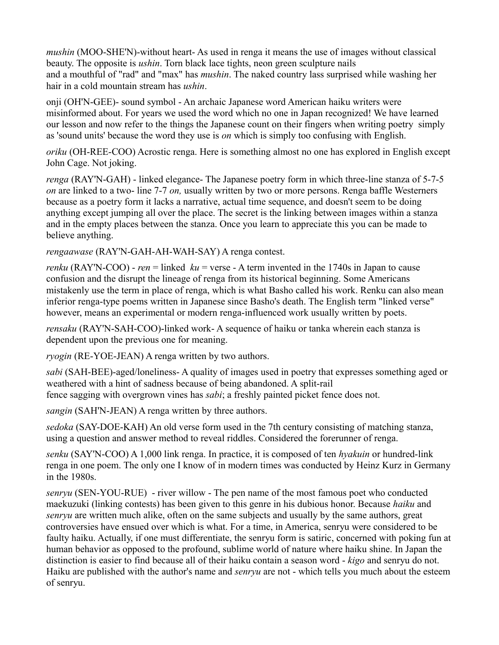*mushin* (MOO-SHE'N)-without heart- As used in renga it means the use of images without classical beauty. The opposite is *ushin*. Torn black lace tights, neon green sculpture nails and a mouthful of "rad" and "max" has *mushin*. The naked country lass surprised while washing her hair in a cold mountain stream has *ushin*.

onji (OH'N-GEE)- sound symbol - An archaic Japanese word American haiku writers were misinformed about. For years we used the word which no one in Japan recognized! We have learned our lesson and now refer to the things the Japanese count on their fingers when writing poetry simply as 'sound units' because the word they use is *on* which is simply too confusing with English.

*oriku* (OH-REE-COO) Acrostic renga. Here is something almost no one has explored in English except John Cage. Not joking.

*renga* (RAY'N-GAH) - linked elegance- The Japanese poetry form in which three-line stanza of 5-7-5 *on* are linked to a two- line 7-7 *on,* usually written by two or more persons. Renga baffle Westerners because as a poetry form it lacks a narrative, actual time sequence, and doesn't seem to be doing anything except jumping all over the place. The secret is the linking between images within a stanza and in the empty places between the stanza. Once you learn to appreciate this you can be made to believe anything.

*rengaawase* (RAY'N-GAH-AH-WAH-SAY) A renga contest.

*renku* (RAY'N-COO) - *ren* = linked *ku* = verse - A term invented in the 1740s in Japan to cause confusion and the disrupt the lineage of renga from its historical beginning. Some Americans mistakenly use the term in place of renga, which is what Basho called his work. Renku can also mean inferior renga-type poems written in Japanese since Basho's death. The English term "linked verse" however, means an experimental or modern renga-influenced work usually written by poets.

*rensaku* (RAY'N-SAH-COO)-linked work- A sequence of haiku or tanka wherein each stanza is dependent upon the previous one for meaning.

*ryogin* (RE-YOE-JEAN) A renga written by two authors.

*sabi* (SAH-BEE)-aged/loneliness- A quality of images used in poetry that expresses something aged or weathered with a hint of sadness because of being abandoned. A split-rail fence sagging with overgrown vines has *sabi*; a freshly painted picket fence does not.

*sangin* (SAH'N-JEAN) A renga written by three authors.

*sedoka* (SAY-DOE-KAH) An old verse form used in the 7th century consisting of matching stanza, using a question and answer method to reveal riddles. Considered the forerunner of renga.

*senku* (SAY'N-COO) A 1,000 link renga. In practice, it is composed of ten *hyakuin* or hundred-link renga in one poem. The only one I know of in modern times was conducted by Heinz Kurz in Germany in the 1980s.

*senryu* (SEN-YOU-RUE) - river willow - The pen name of the most famous poet who conducted maekuzuki (linking contests) has been given to this genre in his dubious honor. Because *haiku* and *senryu* are written much alike, often on the same subjects and usually by the same authors, great controversies have ensued over which is what. For a time, in America, senryu were considered to be faulty haiku. Actually, if one must differentiate, the senryu form is satiric, concerned with poking fun at human behavior as opposed to the profound, sublime world of nature where haiku shine. In Japan the distinction is easier to find because all of their haiku contain a season word - *kigo* and senryu do not. Haiku are published with the author's name and *senryu* are not - which tells you much about the esteem of senryu.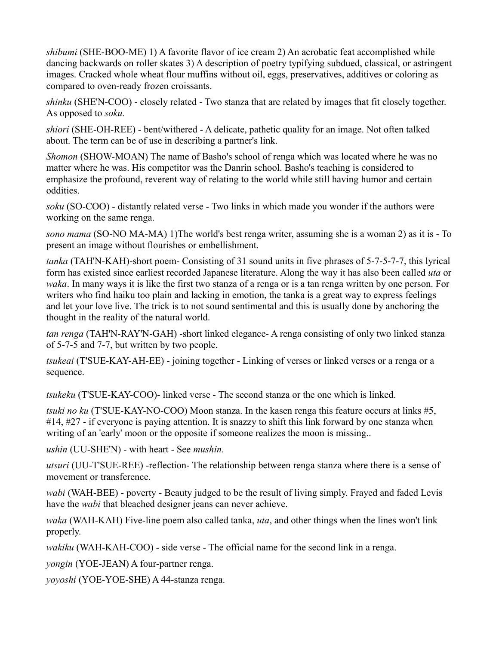*shibumi* (SHE-BOO-ME) 1) A favorite flavor of ice cream 2) An acrobatic feat accomplished while dancing backwards on roller skates 3) A description of poetry typifying subdued, classical, or astringent images. Cracked whole wheat flour muffins without oil, eggs, preservatives, additives or coloring as compared to oven-ready frozen croissants.

*shinku* (SHE'N-COO) - closely related - Two stanza that are related by images that fit closely together. As opposed to *soku.*

*shiori* (SHE-OH-REE) - bent/withered - A delicate, pathetic quality for an image. Not often talked about. The term can be of use in describing a partner's link.

*Shomon* (SHOW-MOAN) The name of Basho's school of renga which was located where he was no matter where he was. His competitor was the Danrin school. Basho's teaching is considered to emphasize the profound, reverent way of relating to the world while still having humor and certain oddities.

*soku* (SO-COO) - distantly related verse - Two links in which made you wonder if the authors were working on the same renga.

*sono mama* (SO-NO MA-MA) 1)The world's best renga writer, assuming she is a woman 2) as it is - To present an image without flourishes or embellishment.

*tanka* (TAH'N-KAH)-short poem- Consisting of 31 sound units in five phrases of 5-7-5-7-7, this lyrical form has existed since earliest recorded Japanese literature. Along the way it has also been called *uta* or *waka*. In many ways it is like the first two stanza of a renga or is a tan renga written by one person. For writers who find haiku too plain and lacking in emotion, the tanka is a great way to express feelings and let your love live. The trick is to not sound sentimental and this is usually done by anchoring the thought in the reality of the natural world.

*tan renga* (TAH'N-RAY'N-GAH) -short linked elegance- A renga consisting of only two linked stanza of 5-7-5 and 7-7, but written by two people.

*tsukeai* (T'SUE-KAY-AH-EE) - joining together - Linking of verses or linked verses or a renga or a sequence.

*tsukeku* (T'SUE-KAY-COO)- linked verse - The second stanza or the one which is linked.

*tsuki no ku* (T'SUE-KAY-NO-COO) Moon stanza. In the kasen renga this feature occurs at links #5, #14, #27 - if everyone is paying attention. It is snazzy to shift this link forward by one stanza when writing of an 'early' moon or the opposite if someone realizes the moon is missing..

*ushin* (UU-SHE'N) - with heart - See *mushin.*

*utsuri* (UU-T'SUE-REE) -reflection- The relationship between renga stanza where there is a sense of movement or transference.

*wabi* (WAH-BEE) - poverty - Beauty judged to be the result of living simply. Frayed and faded Levis have the *wabi* that bleached designer jeans can never achieve.

*waka* (WAH-KAH) Five-line poem also called tanka, *uta*, and other things when the lines won't link properly.

*wakiku* (WAH-KAH-COO) - side verse - The official name for the second link in a renga.

*yongin* (YOE-JEAN) A four-partner renga.

*yoyoshi* (YOE-YOE-SHE) A 44-stanza renga.